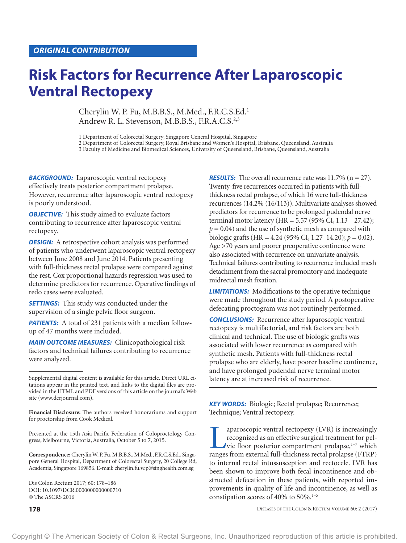# **Risk Factors for Recurrence After Laparoscopic Ventral Rectopexy**

Cherylin W. P. Fu, M.B.B.S., M.Med., F.R.C.S.Ed.1 Andrew R. L. Stevenson, M.B.B.S., F.R.A.C.S. 2,3

1 Department of Colorectal Surgery, Singapore General Hospital, Singapore

2 Department of Colorectal Surgery, Royal Brisbane and Women's Hospital, Brisbane, Queensland, Australia

3 Faculty of Medicine and Biomedical Sciences, University of Queensland, Brisbane, Queensland, Australia

**BACKGROUND:** Laparoscopic ventral rectopexy effectively treats posterior compartment prolapse. However, recurrence after laparoscopic ventral rectopexy is poorly understood.

*OBJECTIVE:* This study aimed to evaluate factors contributing to recurrence after laparoscopic ventral rectopexy.

**DESIGN:** A retrospective cohort analysis was performed of patients who underwent laparoscopic ventral rectopexy between June 2008 and June 2014. Patients presenting with full-thickness rectal prolapse were compared against the rest. Cox proportional hazards regression was used to determine predictors for recurrence. Operative findings of redo cases were evaluated.

**SETTINGS:** This study was conducted under the supervision of a single pelvic floor surgeon.

**PATIENTS:** A total of 231 patients with a median followup of 47 months were included.

*MAIN OUTCOME MEASURES:* Clinicopathological risk factors and technical failures contributing to recurrence were analyzed.

**Financial Disclosure:** The authors received honorariums and support for proctorship from Cook Medical.

Presented at the 15th Asia Pacific Federation of Coloproctology Congress, Melbourne, Victoria, Australia, October 5 to 7, 2015.

**Correspondence:** Cherylin W. P. Fu, M.B.B.S., M.Med., F.R.C.S.Ed., Singapore General Hospital, Department of Colorectal Surgery, 20 College Rd, Academia, Singapore 169856. E-mail: cherylin.fu.w.p@singhealth.com.sg

Dis Colon Rectum 2017; 60: 178–186 DOI: 10.1097/DCR.0000000000000710 © The ASCRS 2016

*RESULTS:* The overall recurrence rate was 11.7% (n = 27). Twenty-five recurrences occurred in patients with fullthickness rectal prolapse, of which 16 were full-thickness recurrences (14.2% (16/113)). Multivariate analyses showed predictors for recurrence to be prolonged pudendal nerve terminal motor latency (HR = 5.57 (95% CI, 1.13 – 27.42);  $p = 0.04$ ) and the use of synthetic mesh as compared with biologic grafts (HR = 4.24 (95% CI, 1.27–14.20); *p* = 0.02). Age >70 years and poorer preoperative continence were also associated with recurrence on univariate analysis. Technical failures contributing to recurrence included mesh detachment from the sacral promontory and inadequate midrectal mesh fixation.

*LIMITATIONS:* Modifications to the operative technique were made throughout the study period. A postoperative defecating proctogram was not routinely performed.

*CONCLUSIONS:* Recurrence after laparoscopic ventral rectopexy is multifactorial, and risk factors are both clinical and technical. The use of biologic grafts was associated with lower recurrence as compared with synthetic mesh. Patients with full-thickness rectal prolapse who are elderly, have poorer baseline continence, and have prolonged pudendal nerve terminal motor latency are at increased risk of recurrence.

*KEY WORDS:* Biologic; Rectal prolapse; Recurrence; Technique; Ventral rectopexy.

**Example 3** aparoscopic ventral rectopexy (LVR) is increasingly recognized as an effective surgical treatment for pelvic floor posterior compartment prolapse,  $1-7$  which ranges from external full-thickness rectal prolaps recognized as an effective surgical treatment for pelvic floor posterior compartment prolapse,<sup>1-7</sup> which ranges from external full-thickness rectal prolapse (FTRP) to internal rectal intussusception and rectocele. LVR has been shown to improve both fecal incontinence and obstructed defecation in these patients, with reported improvements in quality of life and incontinence, as well as constipation scores of  $40\%$  to  $50\%$ .<sup>1–5</sup>

**178** DISEASES OF THE COLON & RECTUM VOLUME 60: 2 (2017)

Supplemental digital content is available for this article. Direct URL citations appear in the printed text, and links to the digital files are provided in the HTML and PDF versions of this article on the journal's Web site ([www.dcrjournal.com\)](www.dcrjournal.com).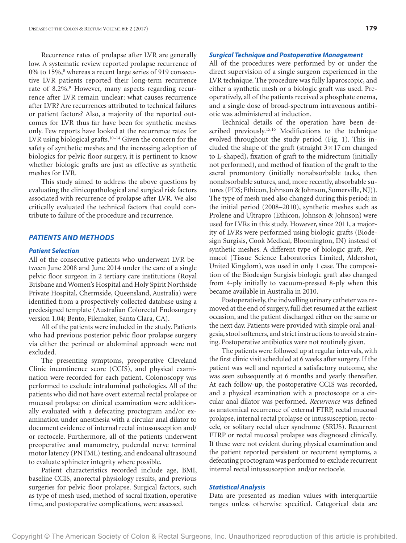Recurrence rates of prolapse after LVR are generally low. A systematic review reported prolapse recurrence of 0% to 15%,<sup>8</sup> whereas a recent large series of 919 consecutive LVR patients reported their long-term recurrence rate of 8.2%.<sup>9</sup> However, many aspects regarding recurrence after LVR remain unclear: what causes recurrence after LVR? Are recurrences attributed to technical failures or patient factors? Also, a majority of the reported outcomes for LVR thus far have been for synthetic meshes only. Few reports have looked at the recurrence rates for LVR using biological grafts.10–14 Given the concern for the safety of synthetic meshes and the increasing adoption of biologics for pelvic floor surgery, it is pertinent to know whether biologic grafts are just as effective as synthetic meshes for LVR.

This study aimed to address the above questions by evaluating the clinicopathological and surgical risk factors associated with recurrence of prolapse after LVR. We also critically evaluated the technical factors that could contribute to failure of the procedure and recurrence.

# *PATIENTS AND METHODS*

## *Patient Selection*

All of the consecutive patients who underwent LVR between June 2008 and June 2014 under the care of a single pelvic floor surgeon in 2 tertiary care institutions (Royal Brisbane and Women's Hospital and Holy Spirit Northside Private Hospital, Chermside, Queensland, Australia) were identified from a prospectively collected database using a predesigned template (Australian Colorectal Endosurgery version 1.04; Bento, Filemaker, Santa Clara, CA).

All of the patients were included in the study. Patients who had previous posterior pelvic floor prolapse surgery via either the perineal or abdominal approach were not excluded.

The presenting symptoms, preoperative Cleveland Clinic incontinence score (CCIS), and physical examination were recorded for each patient. Colonoscopy was performed to exclude intraluminal pathologies. All of the patients who did not have overt external rectal prolapse or mucosal prolapse on clinical examination were additionally evaluated with a defecating proctogram and/or examination under anesthesia with a circular anal dilator to document evidence of internal rectal intussusception and/ or rectocele. Furthermore, all of the patients underwent preoperative anal manometry, pudendal nerve terminal motor latency (PNTML) testing, and endoanal ultrasound to evaluate sphincter integrity where possible.

Patient characteristics recorded include age, BMI, baseline CCIS, anorectal physiology results, and previous surgeries for pelvic floor prolapse. Surgical factors, such as type of mesh used, method of sacral fixation, operative time, and postoperative complications, were assessed.

# *Surgical Technique and Postoperative Management*

All of the procedures were performed by or under the direct supervision of a single surgeon experienced in the LVR technique. The procedure was fully laparoscopic, and either a synthetic mesh or a biologic graft was used. Preoperatively, all of the patients received a phosphate enema, and a single dose of broad-spectrum intravenous antibiotic was administered at induction.

Technical details of the operation have been described previously.<sup>15,16</sup> Modifications to the technique evolved throughout the study period (Fig. 1). This included the shape of the graft (straight  $3 \times 17$  cm changed to L-shaped), fixation of graft to the midrectum (initially not performed), and method of fixation of the graft to the sacral promontory (initially nonabsorbable tacks, then nonabsorbable sutures, and, more recently, absorbable sutures (PDS; Ethicon, Johnson & Johnson, Somerville, NJ)). The type of mesh used also changed during this period; in the initial period (2008–2010), synthetic meshes such as Prolene and Ultrapro (Ethicon, Johnson & Johnson) were used for LVRs in this study. However, since 2011, a majority of LVRs were performed using biologic grafts (Biodesign Surgisis, Cook Medical, Bloomington, IN) instead of synthetic meshes. A different type of biologic graft, Permacol (Tissue Science Laboratories Limited, Aldershot, United Kingdom), was used in only 1 case. The composition of the Biodesign Surgisis biologic graft also changed from 4-ply initially to vacuum-pressed 8-ply when this became available in Australia in 2010.

Postoperatively, the indwelling urinary catheter was removed at the end of surgery, full diet resumed at the earliest occasion, and the patient discharged either on the same or the next day. Patients were provided with simple oral analgesia, stool softeners, and strict instructions to avoid straining. Postoperative antibiotics were not routinely given.

The patients were followed up at regular intervals, with the first clinic visit scheduled at 6 weeks after surgery. If the patient was well and reported a satisfactory outcome, she was seen subsequently at 6 months and yearly thereafter. At each follow-up, the postoperative CCIS was recorded, and a physical examination with a proctoscope or a circular anal dilator was performed. *Recurrence* was defined as anatomical recurrence of external FTRP, rectal mucosal prolapse, internal rectal prolapse or intussusception, rectocele, or solitary rectal ulcer syndrome (SRUS). Recurrent FTRP or rectal mucosal prolapse was diagnosed clinically. If these were not evident during physical examination and the patient reported persistent or recurrent symptoms, a defecating proctogram was performed to exclude recurrent internal rectal intussusception and/or rectocele.

## *Statistical Analysis*

Data are presented as median values with interquartile ranges unless otherwise specified. Categorical data are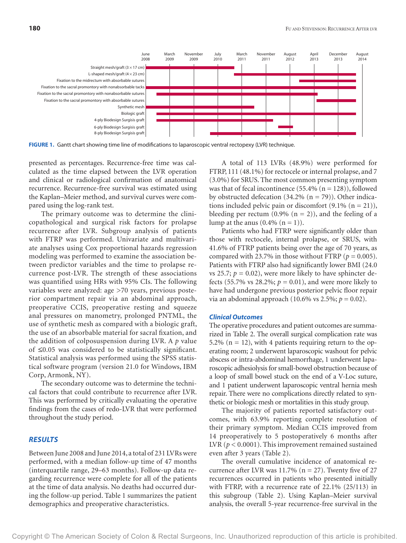

**FIGURE 1.** Gantt chart showing time line of modifications to laparoscopic ventral rectopexy (LVR) technique.

presented as percentages. Recurrence-free time was calculated as the time elapsed between the LVR operation and clinical or radiological confirmation of anatomical recurrence. Recurrence-free survival was estimated using the Kaplan–Meier method, and survival curves were compared using the log-rank test.

The primary outcome was to determine the clinicopathological and surgical risk factors for prolapse recurrence after LVR. Subgroup analysis of patients with FTRP was performed. Univariate and multivariate analyses using Cox proportional hazards regression modeling was performed to examine the association between predictor variables and the time to prolapse recurrence post-LVR. The strength of these associations was quantified using HRs with 95% CIs. The following variables were analyzed: age >70 years, previous posterior compartment repair via an abdominal approach, preoperative CCIS, preoperative resting and squeeze anal pressures on manometry, prolonged PNTML, the use of synthetic mesh as compared with a biologic graft, the use of an absorbable material for sacral fixation, and the addition of colposuspension during LVR. A *p* value of ≤0.05 was considered to be statistically significant. Statistical analysis was performed using the SPSS statistical software program (version 21.0 for Windows, IBM Corp, Armonk, NY).

The secondary outcome was to determine the technical factors that could contribute to recurrence after LVR. This was performed by critically evaluating the operative findings from the cases of redo-LVR that were performed throughout the study period.

## *RESULTS*

Between June 2008 and June 2014, a total of 231 LVRs were performed, with a median follow-up time of 47 months (interquartile range, 29–63 months). Follow-up data regarding recurrence were complete for all of the patients at the time of data analysis. No deaths had occurred during the follow-up period. Table 1 summarizes the patient demographics and preoperative characteristics.

A total of 113 LVRs (48.9%) were performed for FTRP, 111 (48.1%) for rectocele or internal prolapse, and 7 (3.0%) for SRUS. The most common presenting symptom was that of fecal incontinence  $(55.4\% (n = 128))$ , followed by obstructed defecation  $(34.2\%$  (n = 79)). Other indications included pelvic pain or discomfort  $(9.1\% (n = 21))$ , bleeding per rectum (0.9% ( $n = 2$ )), and the feeling of a lump at the anus  $(0.4\%$   $(n = 1))$ .

Patients who had FTRP were significantly older than those with rectocele, internal prolapse, or SRUS, with 41.6% of FTRP patients being over the age of 70 years, as compared with 23.7% in those without FTRP ( $p = 0.005$ ). Patients with FTRP also had significantly lower BMI (24.0 vs 25.7;  $p = 0.02$ ), were more likely to have sphincter defects (55.7% vs 28.2%;  $p = 0.01$ ), and were more likely to have had undergone previous posterior pelvic floor repair via an abdominal approach (10.6% vs 2.5%; *p* = 0.02).

## *Clinical Outcomes*

The operative procedures and patient outcomes are summarized in Table 2. The overall surgical complication rate was 5.2% ( $n = 12$ ), with 4 patients requiring return to the operating room; 2 underwent laparoscopic washout for pelvic abscess or intra-abdominal hemorrhage, 1 underwent laparoscopic adhesiolysis for small-bowel obstruction because of a loop of small bowel stuck on the end of a V-Loc suture, and 1 patient underwent laparoscopic ventral hernia mesh repair. There were no complications directly related to synthetic or biologic mesh or mortalities in this study group.

The majority of patients reported satisfactory outcomes, with 63.9% reporting complete resolution of their primary symptom. Median CCIS improved from 14 preoperatively to 5 postoperatively 6 months after LVR ( $p < 0.0001$ ). This improvement remained sustained even after 3 years (Table 2).

The overall cumulative incidence of anatomical recurrence after LVR was  $11.7\%$  (n = 27). Twenty five of 27 recurrences occurred in patients who presented initially with FTRP, with a recurrence rate of 22.1% (25/113) in this subgroup (Table 2). Using Kaplan–Meier survival analysis, the overall 5-year recurrence-free survival in the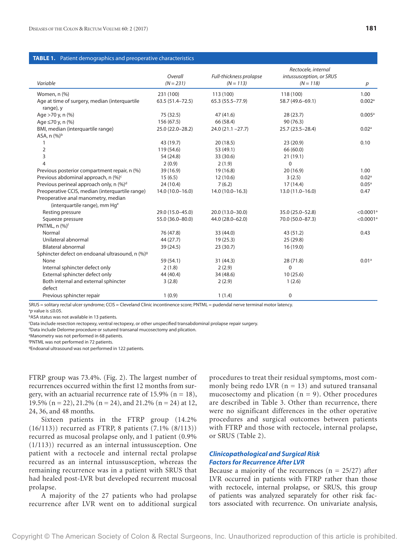#### **TABLE 1.** Patient demographics and preoperative characteristics

|                                                                                  | Overall            | Full-thickness prolapse | Rectocele, internal<br>intussusception, or SRUS |                         |
|----------------------------------------------------------------------------------|--------------------|-------------------------|-------------------------------------------------|-------------------------|
| Variable                                                                         | $(N = 231)$        | $(N = 113)$             | $(N = 118)$                                     | p                       |
| Women, n (%)                                                                     | 231 (100)          | 113 (100)               | 118 (100)                                       | 1.00                    |
| Age at time of surgery, median (interquartile<br>range), y                       | 63.5 (51.4 - 72.5) | 65.3 (55.5-77.9)        | 58.7 (49.6-69.1)                                | 0.002a                  |
| Age >70 y, n (%)                                                                 | 75 (32.5)          | 47 (41.6)               | 28 (23.7)                                       | 0.005a                  |
| Age ≤70 y, n (%)                                                                 | 156 (67.5)         | 66 (58.4)               | 90 (76.3)                                       |                         |
| BMI, median (interquartile range)<br>ASA, $n (%)^b$                              | 25.0 (22.0-28.2)   | $24.0(21.1 - 27.7)$     | 25.7 (23.5-28.4)                                | 0.02 <sup>a</sup>       |
| 1                                                                                | 43 (19.7)          | 20(18.5)                | 23(20.9)                                        | 0.10                    |
| $\overline{2}$                                                                   | 119 (54.6)         | 53 (49.1)               | 66 (60.0)                                       |                         |
| 3                                                                                | 54 (24.8)          | 33 (30.6)               | 21(19.1)                                        |                         |
| $\overline{4}$                                                                   | 2(0.9)             | 2(1.9)                  | $\Omega$                                        |                         |
| Previous posterior compartment repair, n (%)                                     | 39 (16.9)          | 19 (16.8)               | 20 (16.9)                                       | 1.00                    |
| Previous abdominal approach, n (%) <sup>c</sup>                                  | 15(6.5)            | 12 (10.6)               | 3(2.5)                                          | 0.02 <sup>a</sup>       |
| Previous perineal approach only, n (%)d                                          | 24 (10.4)          | 7(6.2)                  | 17(14.4)                                        | 0.05 <sup>a</sup>       |
| Preoperative CCIS, median (interquartile range)                                  | 14.0 (10.0-16.0)   | $14.0(10.0-16.3)$       | $13.0(11.0-16.0)$                               | 0.47                    |
| Preoperative anal manometry, median<br>(interquartile range), mm Hg <sup>e</sup> |                    |                         |                                                 |                         |
| Resting pressure                                                                 | 29.0 (15.0-45.0)   | 20.0 (13.0-30.0)        | 35.0 (25.0-52.8)                                | $< 0.0001$ <sup>a</sup> |
| Squeeze pressure                                                                 | 55.0 (36.0-80.0)   | 44.0 (28.0-62.0)        | 70.0 (50.0-87.3)                                | $< 0.0001$ <sup>a</sup> |
| PNTML, n (%) <sup>f</sup>                                                        |                    |                         |                                                 |                         |
| Normal                                                                           | 76 (47.8)          | 33 (44.0)               | 43(51.2)                                        | 0.43                    |
| Unilateral abnormal                                                              | 44 (27.7)          | 19(25.3)                | 25(29.8)                                        |                         |
| <b>Bilateral abnormal</b>                                                        | 39 (24.5)          | 23 (30.7)               | 16(19.0)                                        |                         |
| Sphincter defect on endoanal ultrasound, n (%) <sup>9</sup>                      |                    |                         |                                                 |                         |
| None                                                                             | 59 (54.1)          | 31(44.3)                | 28 (71.8)                                       | 0.01 <sup>a</sup>       |
| Internal sphincter defect only                                                   | 2(1.8)             | 2(2.9)                  | $\mathbf 0$                                     |                         |
| External sphincter defect only                                                   | 44 (40.4)          | 34 (48.6)               | 10(25.6)                                        |                         |
| Both internal and external sphincter<br>defect                                   | 3(2.8)             | 2(2.9)                  | 1(2.6)                                          |                         |
| Previous sphincter repair                                                        | 1(0.9)             | 1(1.4)                  | 0                                               |                         |

SRUS = solitary rectal ulcer syndrome; CCIS = Cleveland Clinic incontinence score; PNTML = pudendal nerve terminal motor latency. a *p* value is ≤0.05.

bASA status was not available in 13 patients.

c Data include resection rectopexy, ventral rectopexy, or other unspecified transabdominal prolapse repair surgery.

dData include Delorme procedure or sutured transanal mucosectomy and plication.

e Manometry was not performed in 68 patients.

f PNTML was not performed in 72 patients.

<sup>9</sup>Endoanal ultrasound was not performed in 122 patients.

FTRP group was 73.4%. (Fig. 2). The largest number of recurrences occurred within the first 12 months from surgery, with an actuarial recurrence rate of 15.9% ( $n = 18$ ), 19.5% (n = 22), 21.2% (n = 24), and 21.2% (n = 24) at 12, 24, 36, and 48 months.

Sixteen patients in the FTRP group (14.2% (16/113)) recurred as FTRP, 8 patients (7.1% (8/113)) recurred as mucosal prolapse only, and 1 patient (0.9% (1/113)) recurred as an internal intussusception. One patient with a rectocele and internal rectal prolapse recurred as an internal intussusception, whereas the remaining recurrence was in a patient with SRUS that had healed post-LVR but developed recurrent mucosal prolapse.

A majority of the 27 patients who had prolapse recurrence after LVR went on to additional surgical

procedures to treat their residual symptoms, most commonly being redo LVR ( $n = 13$ ) and sutured transanal mucosectomy and plication  $(n = 9)$ . Other procedures are described in Table 3. Other than recurrence, there were no significant differences in the other operative procedures and surgical outcomes between patients with FTRP and those with rectocele, internal prolapse, or SRUS (Table 2).

# *Clinicopathological and Surgical Risk Factors for Recurrence After LVR*

Because a majority of the recurrences  $(n = 25/27)$  after LVR occurred in patients with FTRP rather than those with rectocele, internal prolapse, or SRUS, this group of patients was analyzed separately for other risk factors associated with recurrence. On univariate analysis,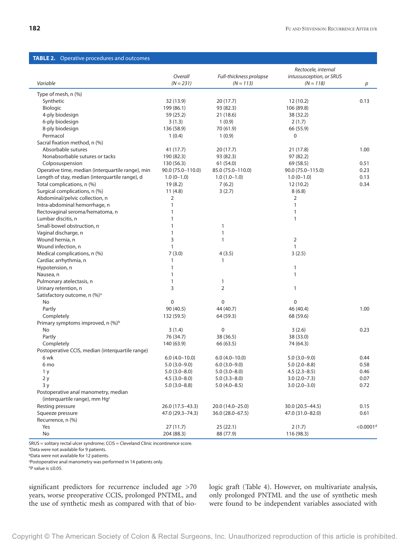## **TABLE 2.** Operative procedures and outcomes

|                                                                                   |                    |                         | Rectocele, internal      |                         |
|-----------------------------------------------------------------------------------|--------------------|-------------------------|--------------------------|-------------------------|
|                                                                                   | Overall            | Full-thickness prolapse | intussusception, or SRUS |                         |
| Variable                                                                          | $(N = 231)$        | $(N = 113)$             | $(N = 118)$              | р                       |
| Type of mesh, n (%)                                                               |                    |                         |                          |                         |
| Synthetic                                                                         | 32 (13.9)          | 20(17.7)                | 12(10.2)                 | 0.13                    |
| Biologic                                                                          | 199 (86.1)         | 93 (82.3)               | 106 (89.8)               |                         |
| 4-ply biodesign                                                                   | 59 (25.2)          | 21 (18.6)               | 38 (32.2)                |                         |
| 6-ply biodesign                                                                   | 3(1.3)             | 1(0.9)                  | 2(1.7)                   |                         |
| 8-ply biodesign                                                                   | 136 (58.9)         | 70 (61.9)               | 66 (55.9)                |                         |
| Permacol                                                                          | 1(0.4)             | 1(0.9)                  | $\pmb{0}$                |                         |
| Sacral fixation method, n (%)                                                     |                    |                         |                          |                         |
| Absorbable sutures                                                                | 41 (17.7)          | 20(17.7)                | 21 (17.8)                | 1.00                    |
| Nonabsorbable sutures or tacks                                                    | 190 (82.3)         | 93 (82.3)               | 97 (82.2)                |                         |
| Colposuspension                                                                   | 130 (56.3)         | 61 (54.0)               | 69 (58.5)                | 0.51                    |
| Operative time, median (interquartile range), min                                 | 90.0 (75.0-110.0)  | 85.0 (75.0-110.0)       | 90.0 (75.0-115.0)        | 0.23                    |
| Length of stay, median (interquartile range), d                                   | $1.0(0-1.0)$       | $1.0(1.0-1.0)$          | $1.0(0-1.0)$             | 0.13                    |
| Total complications, n (%)                                                        | 19(8.2)            | 7(6.2)                  | 12(10.2)                 | 0.34                    |
| Surgical complications, n (%)                                                     | 11(4.8)            | 3(2.7)                  | 8(6.8)                   |                         |
| Abdominal/pelvic collection, n                                                    | 2                  |                         | 2                        |                         |
| Intra-abdominal hemorrhage, n                                                     | 1                  |                         | 1                        |                         |
| Rectovaginal seroma/hematoma, n                                                   | 1                  |                         | 1                        |                         |
| Lumbar discitis, n                                                                | 1                  |                         | 1                        |                         |
| Small-bowel obstruction, n                                                        | 1                  | 1                       |                          |                         |
| Vaginal discharge, n                                                              | $\mathbf{1}$       | $\mathbf{1}$            |                          |                         |
| Wound hernia, n                                                                   | 3                  | $\mathbf{1}$            | 2                        |                         |
| Wound infection, n                                                                | $\mathbf{1}$       |                         | 1                        |                         |
| Medical complications, n (%)                                                      | 7(3.0)             | 4(3.5)                  | 3(2.5)                   |                         |
| Cardiac arrhythmia, n                                                             | 1                  | 1                       |                          |                         |
| Hypotension, n                                                                    | 1                  |                         | $\mathbf{1}$             |                         |
| Nausea, n                                                                         | 1                  |                         | $\mathbf{1}$             |                         |
| Pulmonary atelectasis, n                                                          | 1                  | 1                       |                          |                         |
| Urinary retention, n                                                              | 3                  | 2                       | $\mathbf{1}$             |                         |
| Satisfactory outcome, n (%) <sup>a</sup>                                          |                    |                         |                          |                         |
| No                                                                                | 0                  | 0                       | 0                        |                         |
| Partly                                                                            | 90 (40.5)          | 44 (40.7)               | 46 (40.4)                | 1.00                    |
| Completely                                                                        | 132 (59.5)         | 64 (59.3)               | 68 (59.6)                |                         |
| Primary symptoms improved, $n$ (%) <sup>b</sup>                                   |                    |                         |                          |                         |
| No                                                                                | 3(1.4)             | 0                       | 3(2.6)                   | 0.23                    |
| Partly                                                                            | 76 (34.7)          | 38 (36.5)               | 38 (33.0)                |                         |
| Completely                                                                        | 140 (63.9)         | 66 (63.5)               | 74 (64.3)                |                         |
| Postoperative CCIS, median (interquartile range)                                  |                    |                         |                          |                         |
| 6 wk                                                                              | $6.0(4.0-10.0)$    | $6.0(4.0-10.0)$         | $5.0(3.0-9.0)$           | 0.44                    |
| 6 <sub>mo</sub>                                                                   | $5.0(3.0-9.0)$     | $6.0(3.0-9.0)$          | $5.0(2.0-8.8)$           | 0.58                    |
| 1 y                                                                               | $5.0(3.0 - 8.0)$   | $5.0(3.0 - 8.0)$        | $4.5(2.3 - 8.5)$         | 0.46                    |
| 2y                                                                                | $4.5(3.0 - 8.0)$   | $5.0(3.3-8.0)$          | $3.0(2.0 - 7.3)$         | 0.07                    |
| 3y                                                                                | $5.0(3.0-8.8)$     | $5.0(4.0 - 8.5)$        | $3.0(2.0-3.0)$           | 0.72                    |
| Postoperative anal manometry, median<br>(interquartile range), mm Hg <sup>c</sup> |                    |                         |                          |                         |
| Resting pressure                                                                  | 26.0 (17.5-43.3)   | 20.0 (14.0-25.0)        | 30.0 (20.5-44.5)         | 0.15                    |
| Squeeze pressure                                                                  | 47.0 (29.3 - 74.3) | 36.0 (28.0-67.5)        | 47.0 (31.0-82.0)         | 0.61                    |
| Recurrence, n (%)                                                                 |                    |                         |                          |                         |
| Yes                                                                               | 27(11.7)           | 25(22.1)                | 2(1.7)                   | $<$ 0.0001 <sup>d</sup> |
| No                                                                                | 204 (88.3)         | 88 (77.9)               | 116 (98.3)               |                         |
|                                                                                   |                    |                         |                          |                         |

SRUS = solitary rectal ulcer syndrome; CCIS = Cleveland Clinic incontinence score.

a Data were not available for 9 patients.

**bData were not available for 12 patients.** 

c Postoperative anal manometry was performed in 14 patients only.

d*P* value is ≤0.05.

significant predictors for recurrence included age >70 years, worse preoperative CCIS, prolonged PNTML, and the use of synthetic mesh as compared with that of biologic graft (Table 4). However, on multivariate analysis, only prolonged PNTML and the use of synthetic mesh were found to be independent variables associated with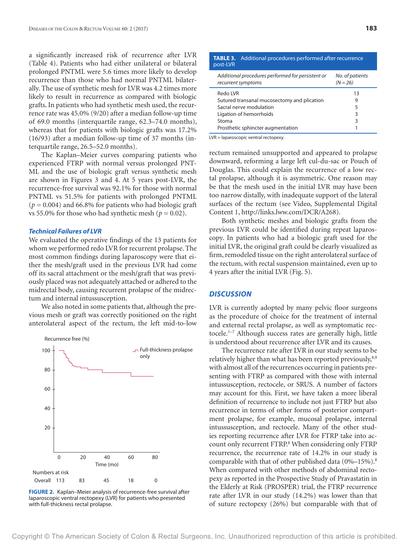a significantly increased risk of recurrence after LVR (Table 4). Patients who had either unilateral or bilateral prolonged PNTML were 5.6 times more likely to develop recurrence than those who had normal PNTML bilaterally. The use of synthetic mesh for LVR was 4.2 times more likely to result in recurrence as compared with biologic grafts. In patients who had synthetic mesh used, the recurrence rate was 45.0% (9/20) after a median follow-up time of 69.0 months (interquartile range, 62.3–74.0 months), whereas that for patients with biologic grafts was 17.2% (16/93) after a median follow-up time of 37 months (interquartile range, 26.5–52.0 months).

The Kaplan–Meier curves comparing patients who experienced FTRP with normal versus prolonged PNT-ML and the use of biologic graft versus synthetic mesh are shown in Figures 3 and 4. At 5 years post-LVR, the recurrence-free survival was 92.1% for those with normal PNTML vs 51.5% for patients with prolonged PNTML  $(p = 0.004)$  and 66.8% for patients who had biologic graft vs 55.0% for those who had synthetic mesh ( $p = 0.02$ ).

#### *Technical Failures of LVR*

We evaluated the operative findings of the 13 patients for whom we performed redo LVR for recurrent prolapse. The most common findings during laparoscopy were that either the mesh/graft used in the previous LVR had come off its sacral attachment or the mesh/graft that was previously placed was not adequately attached or adhered to the midrectal body, causing recurrent prolapse of the midrectum and internal intussusception.

We also noted in some patients that, although the previous mesh or graft was correctly positioned on the right anterolateral aspect of the rectum, the left mid-to-low



**FIGURE 2.** Kaplan–Meier analysis of recurrence-free survival after laparoscopic ventral rectopexy (LVR) for patients who presented with full-thickness rectal prolapse.

| Additional procedures performed after recurrence |
|--------------------------------------------------|
| No. of patients<br>$(N = 26)$                    |
| 13                                               |
| 9                                                |
| 5                                                |
| 3                                                |
| 3                                                |
|                                                  |
|                                                  |

LVR = laparoscopic ventral rectopexy.

rectum remained unsupported and appeared to prolapse downward, reforming a large left cul-du-sac or Pouch of Douglas. This could explain the recurrence of a low rectal prolapse, although it is asymmetric. One reason may be that the mesh used in the initial LVR may have been too narrow distally, with inadequate support of the lateral surfaces of the rectum (see Video, Supplemental Digital Content 1, http://links.lww.com/DCR/A268).

Both synthetic meshes and biologic grafts from the previous LVR could be identified during repeat laparoscopy. In patients who had a biologic graft used for the initial LVR, the original graft could be clearly visualized as firm, remodeled tissue on the right anterolateral surface of the rectum, with rectal suspension maintained, even up to 4 years after the initial LVR (Fig. 5).

#### *DISCUSSION*

LVR is currently adopted by many pelvic floor surgeons as the procedure of choice for the treatment of internal and external rectal prolapse, as well as symptomatic rectocele.<sup>1-7</sup> Although success rates are generally high, little is understood about recurrence after LVR and its causes.

The recurrence rate after LVR in our study seems to be relatively higher than what has been reported previously,<sup>8,9</sup> with almost all of the recurrences occurring in patients presenting with FTRP as compared with those with internal intussusception, rectocele, or SRUS. A number of factors may account for this. First, we have taken a more liberal definition of recurrence to include not just FTRP but also recurrence in terms of other forms of posterior compartment prolapse, for example, mucosal prolapse, internal intussusception, and rectocele. Many of the other studies reporting recurrence after LVR for FTRP take into account only recurrent FTRP.<sup>8</sup> When considering only FTRP recurrence, the recurrence rate of 14.2% in our study is comparable with that of other published data  $(0\% - 15\%)$ .<sup>8</sup> When compared with other methods of abdominal rectopexy as reported in the Prospective Study of Pravastatin in the Elderly at Risk (PROSPER) trial, the FTRP recurrence rate after LVR in our study (14.2%) was lower than that of suture rectopexy (26%) but comparable with that of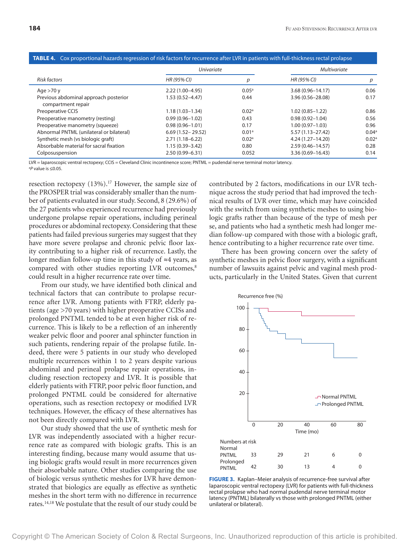#### *Risk factors Univariate Multivariate HR (95% CI) p HR (95% CI) p* Age >70 y 2.22 (1.00–4.95) 0.05<sup>a</sup> 3.68 (0.96–14.17) 0.06 Previous abdominal approach posterior compartment repair 1.53 (0.52–4.47) 0.44 3.96 (0.56–28.08) 0.17 Preoperative CCIS 2.18 (1.03–1.34) 0.02<sup>a</sup> 1.02 (0.85–1.22) 0.86 Preoperative manometry (resting) 0.99 (0.96–1.02) 0.43 0.98 (0.92–1.04) 0.56 Preoperative manometry (squeeze) 0.98 (0.96–1.01) 0.17 1.00 (0.97–1.03) 0.96 Abnormal PNTML (unilateral or bilateral) 6.69 (1.52 - 29.52) 0.01<sup>a</sup> 5.57 (1.13 - 27.42) 0.04<sup>a</sup> Synthetic mesh (vs biologic graft) 2.71 (1.18–6.22) 0.02<sup>a</sup> 4.24 (1.27–14.20) 0.02<sup>a</sup> Absorbable material for sacral fixation 1.15 (0.39–3.42) 0.80 2.59 (0.46–14.57) 0.28 Colposuspension 2.50 (0.99–6.31) 0.052 3.36 (0.69–16.43) 0.14

#### **TABLE 4.** Cox proportional hazards regression of risk factors for recurrence after LVR in patients with full-thickness rectal prolapse

LVR = laparoscopic ventral rectopexy; CCIS = Cleveland Clinic incontinence score; PNTML = pudendal nerve terminal motor latency. a *P* value is ≤0.05.

resection rectopexy (13%).<sup>17</sup> However, the sample size of the PROSPER trial was considerably smaller than the number of patients evaluated in our study. Second, 8 (29.6%) of the 27 patients who experienced recurrence had previously undergone prolapse repair operations, including perineal procedures or abdominal rectopexy. Considering that these patients had failed previous surgeries may suggest that they have more severe prolapse and chronic pelvic floor laxity contributing to a higher risk of recurrence. Lastly, the longer median follow-up time in this study of ≈4 years, as compared with other studies reporting LVR outcomes,<sup>8</sup> could result in a higher recurrence rate over time.

From our study, we have identified both clinical and technical factors that can contribute to prolapse recurrence after LVR. Among patients with FTRP, elderly patients (age >70 years) with higher preoperative CCISs and prolonged PNTML tended to be at even higher risk of recurrence. This is likely to be a reflection of an inherently weaker pelvic floor and poorer anal sphincter function in such patients, rendering repair of the prolapse futile. Indeed, there were 5 patients in our study who developed multiple recurrences within 1 to 2 years despite various abdominal and perineal prolapse repair operations, including resection rectopexy and LVR. It is possible that elderly patients with FTRP, poor pelvic floor function, and prolonged PNTML could be considered for alternative operations, such as resection rectopexy or modified LVR techniques. However, the efficacy of these alternatives has not been directly compared with LVR.

Our study showed that the use of synthetic mesh for LVR was independently associated with a higher recurrence rate as compared with biologic grafts. This is an interesting finding, because many would assume that using biologic grafts would result in more recurrences given their absorbable nature. Other studies comparing the use of biologic versus synthetic meshes for LVR have demonstrated that biologics are equally as effective as synthetic meshes in the short term with no difference in recurrence rates.14,18 We postulate that the result of our study could be

contributed by 2 factors, modifications in our LVR technique across the study period that had improved the technical results of LVR over time, which may have coincided with the switch from using synthetic meshes to using biologic grafts rather than because of the type of mesh per se, and patients who had a synthetic mesh had longer median follow-up compared with those with a biologic graft, hence contributing to a higher recurrence rate over time.

There has been growing concern over the safety of synthetic meshes in pelvic floor surgery, with a significant number of lawsuits against pelvic and vaginal mesh products, particularly in the United States. Given that current



**FIGURE 3.** Kaplan–Meier analysis of recurrence-free survival after laparoscopic ventral rectopexy (LVR) for patients with full-thickness rectal prolapse who had normal pudendal nerve terminal motor latency (PNTML) bilaterally vs those with prolonged PNTML (either unilateral or bilateral).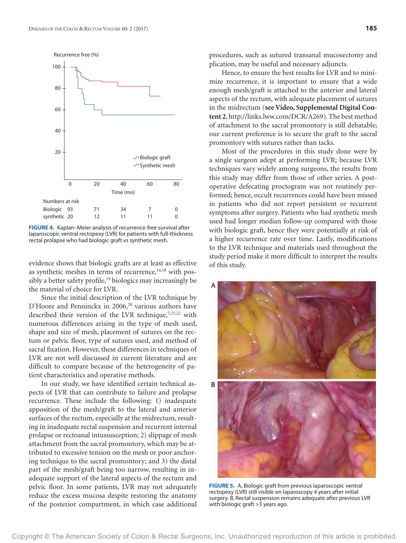

**FIGURE 4.** Kaplan–Meier analysis of recurrence-free survival after laparoscopic ventral rectopexy (LVR) for patients with full-thickness rectal prolapse who had biologic graft vs synthetic mesh.

evidence shows that biologic grafts are at least as effective as synthetic meshes in terms of recurrence, $14,18$  with possibly a better safety profile,<sup>19</sup> biologics may increasingly be the material of choice for LVR.

Since the initial description of the LVR technique by D'Hoore and Penninckx in 2006,<sup>20</sup> various authors have described their version of the LVR technique,<sup>7,21,22</sup> with numerous differences arising in the type of mesh used, shape and size of mesh, placement of sutures on the rectum or pelvic floor, type of sutures used, and method of sacral fixation. However, these differences in techniques of LVR are not well discussed in current literature and are difficult to compare because of the heterogeneity of patient characteristics and operative methods.

In our study, we have identified certain technical aspects of LVR that can contribute to failure and prolapse recurrence. These include the following: 1) inadequate apposition of the mesh/graft to the lateral and anterior surfaces of the rectum, especially at the midrectum, resulting in inadequate rectal suspension and recurrent internal prolapse or rectoanal intussusception; 2) slippage of mesh attachment from the sacral promontory, which may be attributed to excessive tension on the mesh or poor anchoring technique to the sacral promontory; and 3) the distal part of the mesh/graft being too narrow, resulting in inadequate support of the lateral aspects of the rectum and pelvic floor. In some patients, LVR may not adequately reduce the excess mucosa despite restoring the anatomy of the posterior compartment, in which case additional

procedures, such as sutured transanal mucosectomy and plication, may be useful and necessary adjuncts.

Hence, to ensure the best results for LVR and to minimize recurrence, it is important to ensure that a wide enough mesh/graft is attached to the anterior and lateral aspects of the rectum, with adequate placement of sutures in the midrectum (**see Video, Supplemental Digital Content 2**, http://links.lww.com/DCR/A269). The best method of attachment to the sacral promontory is still debatable; our current preference is to secure the graft to the sacral promontory with sutures rather than tacks.

Most of the procedures in this study done were by a single surgeon adept at performing LVR; because LVR techniques vary widely among surgeons, the results from this study may differ from those of other series. A postoperative defecating proctogram was not routinely performed; hence, occult recurrences could have been missed in patients who did not report persistent or recurrent symptoms after surgery. Patients who had synthetic mesh used had longer median follow-up compared with those with biologic graft, hence they were potentially at risk of a higher recurrence rate over time. Lastly, modifications to the LVR technique and materials used throughout the study period make it more difficult to interpret the results of this study.



**FIGURE 5.** A, Biologic graft from previous laparoscopic ventral rectopexy (LVR) still visible on laparoscopy 4 years after initial surgery. B, Rectal suspension remains adequate after previous LVR with biologic graft >3 years ago.